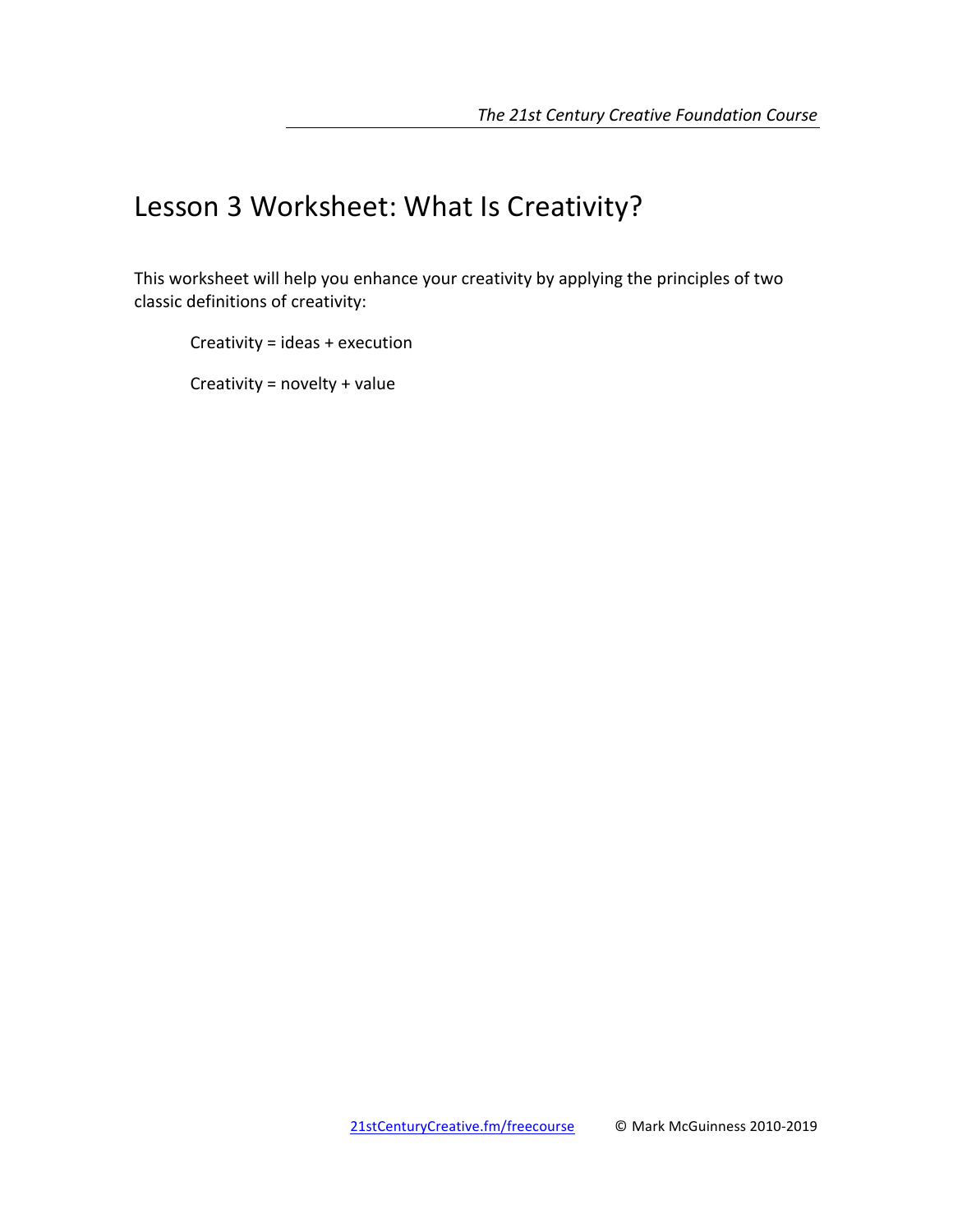# Lesson 3 Worksheet: What Is Creativity?

This worksheet will help you enhance your creativity by applying the principles of two classic definitions of creativity:

Creativity =  $ideas + execution$ 

Creativity =  $novelty + value$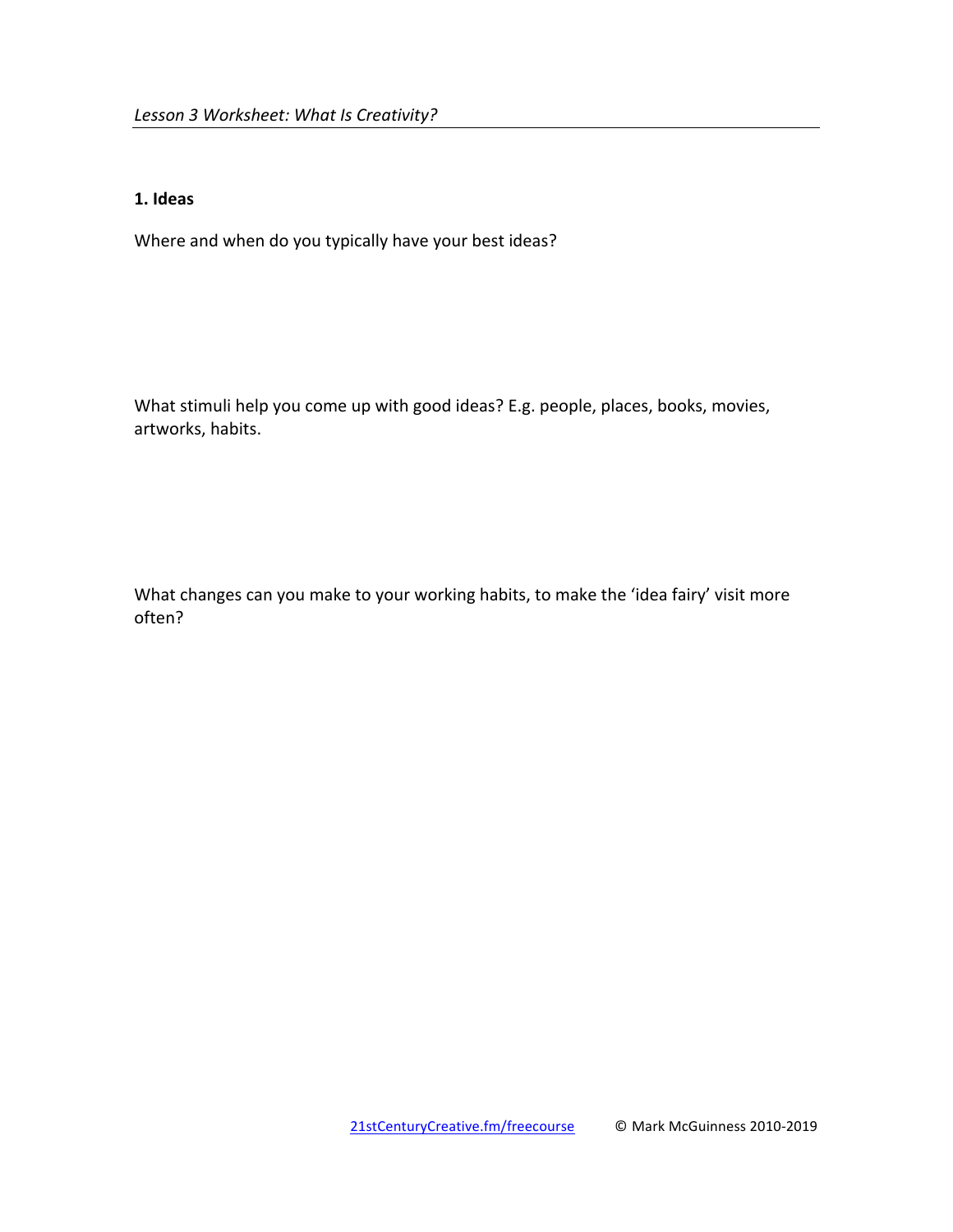#### **1. Ideas**

Where and when do you typically have your best ideas?

What stimuli help you come up with good ideas? E.g. people, places, books, movies, artworks, habits.

What changes can you make to your working habits, to make the 'idea fairy' visit more often?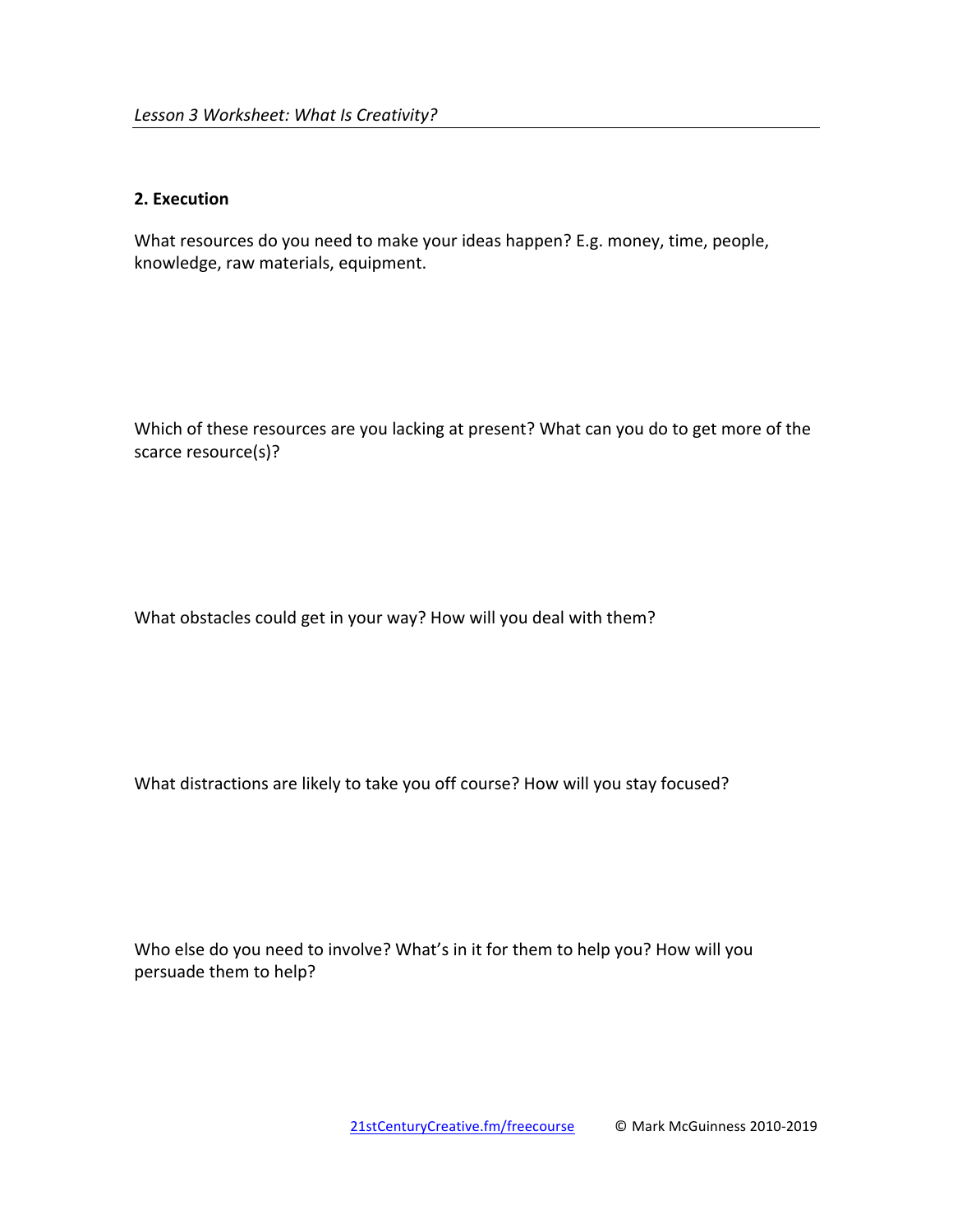#### **2. Execution**

What resources do you need to make your ideas happen? E.g. money, time, people, knowledge, raw materials, equipment.

Which of these resources are you lacking at present? What can you do to get more of the scarce resource(s)?

What obstacles could get in your way? How will you deal with them?

What distractions are likely to take you off course? How will you stay focused?

Who else do you need to involve? What's in it for them to help you? How will you persuade them to help?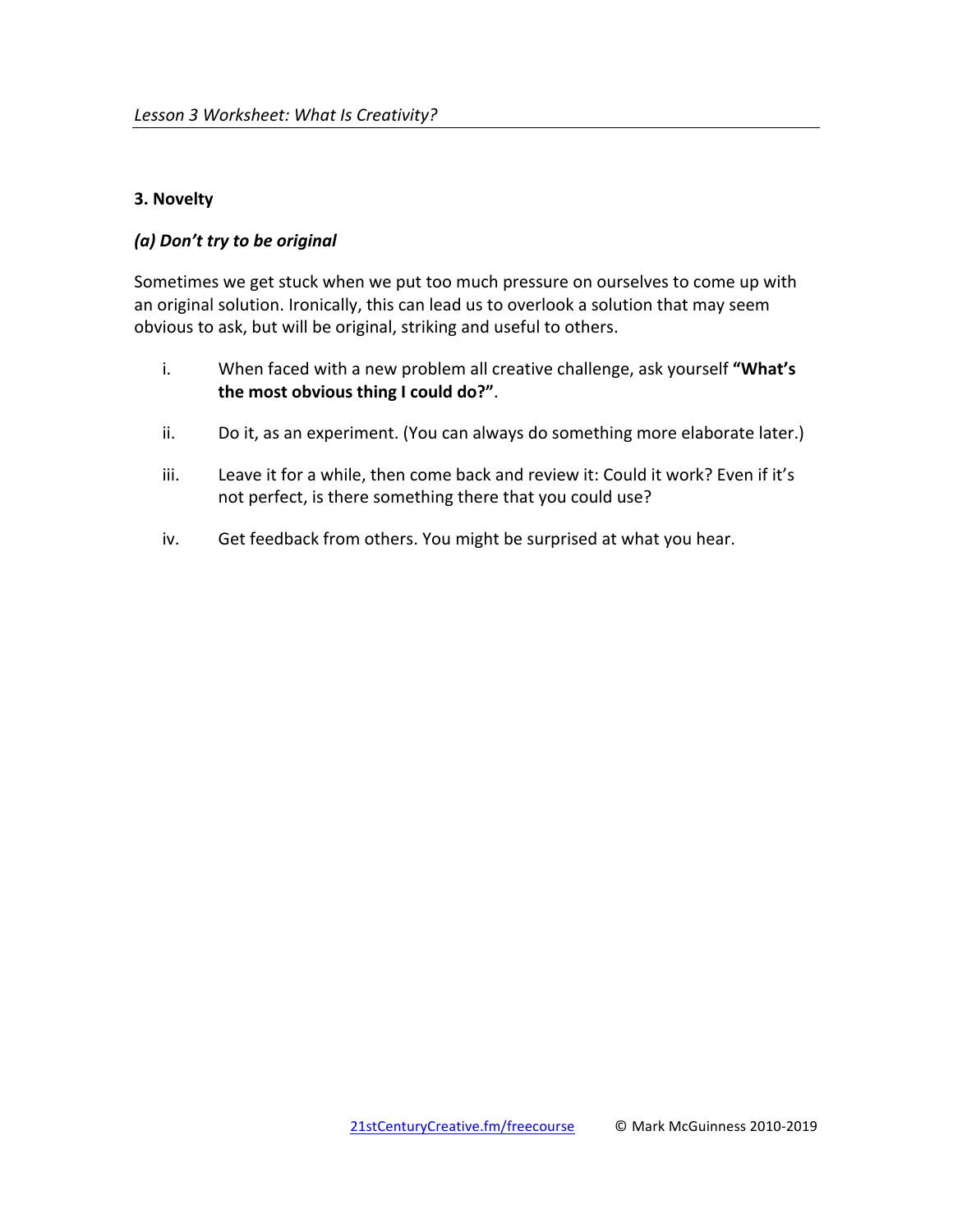## **3. Novelty**

## *(a) Don't try to be original*

Sometimes we get stuck when we put too much pressure on ourselves to come up with an original solution. Ironically, this can lead us to overlook a solution that may seem obvious to ask, but will be original, striking and useful to others.

- i. When faced with a new problem all creative challenge, ask yourself "What's the most obvious thing I could do?".
- ii. Do it, as an experiment. (You can always do something more elaborate later.)
- iii. Leave it for a while, then come back and review it: Could it work? Even if it's not perfect, is there something there that you could use?
- iv. Get feedback from others. You might be surprised at what you hear.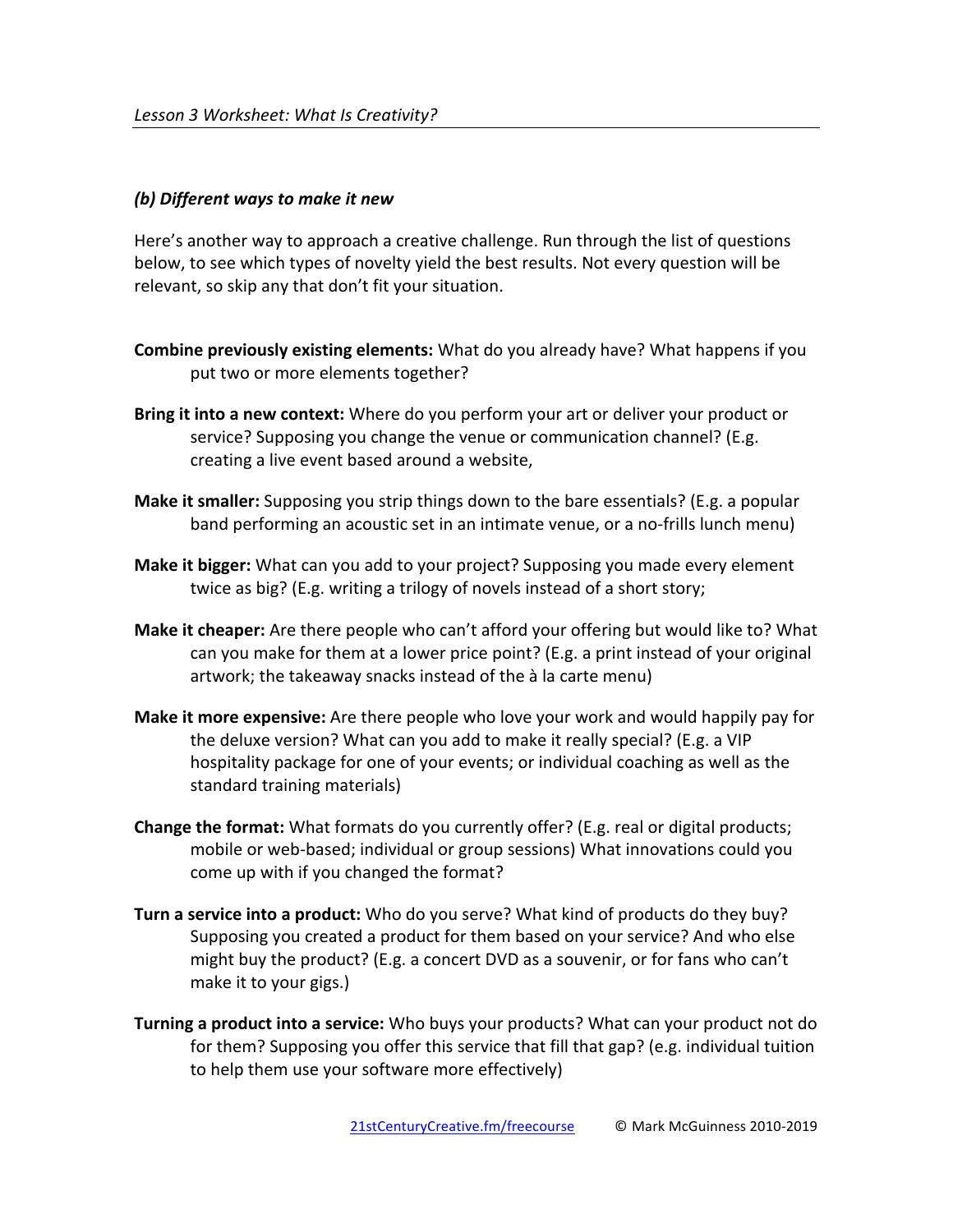#### *(b) Different ways to make it new*

Here's another way to approach a creative challenge. Run through the list of questions below, to see which types of novelty yield the best results. Not every question will be relevant, so skip any that don't fit your situation.

- **Combine previously existing elements:** What do you already have? What happens if you put two or more elements together?
- **Bring it into a new context:** Where do you perform your art or deliver your product or service? Supposing you change the venue or communication channel? (E.g. creating a live event based around a website,
- **Make it smaller:** Supposing you strip things down to the bare essentials? (E.g. a popular band performing an acoustic set in an intimate venue, or a no-frills lunch menu)
- **Make it bigger:** What can you add to your project? Supposing you made every element twice as big? (E.g. writing a trilogy of novels instead of a short story;
- **Make it cheaper:** Are there people who can't afford your offering but would like to? What can you make for them at a lower price point? (E.g. a print instead of your original artwork; the takeaway snacks instead of the à la carte menu)
- **Make it more expensive:** Are there people who love your work and would happily pay for the deluxe version? What can you add to make it really special? (E.g. a VIP hospitality package for one of your events; or individual coaching as well as the standard training materials)
- **Change the format:** What formats do you currently offer? (E.g. real or digital products; mobile or web-based; individual or group sessions) What innovations could you come up with if you changed the format?
- **Turn a service into a product:** Who do you serve? What kind of products do they buy? Supposing you created a product for them based on your service? And who else might buy the product? (E.g. a concert DVD as a souvenir, or for fans who can't make it to your gigs.)
- **Turning a product into a service:** Who buys your products? What can your product not do for them? Supposing you offer this service that fill that  $gap$ ? (e.g. individual tuition to help them use your software more effectively)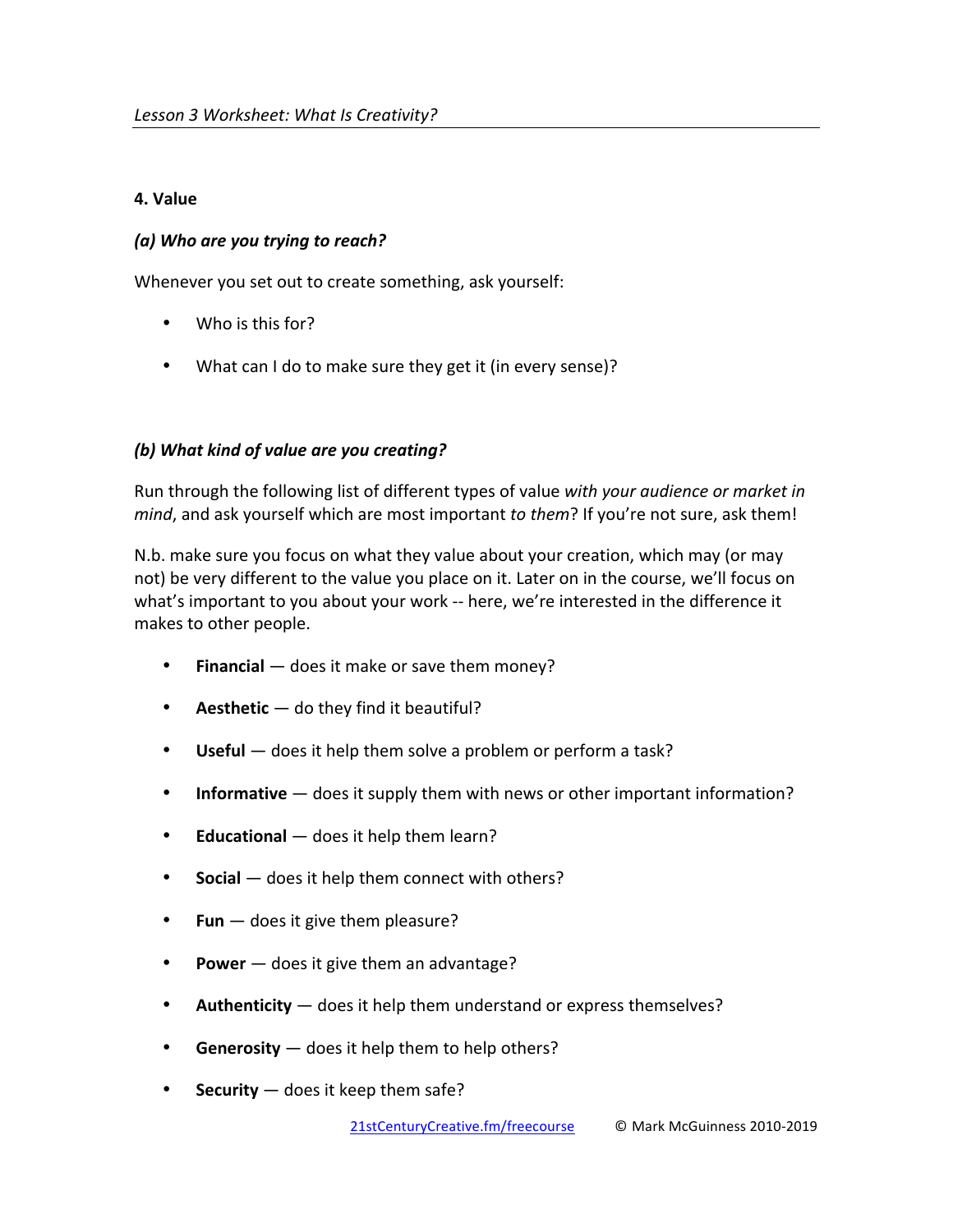# **4. Value**

# *(a) Who are you trying to reach?*

Whenever you set out to create something, ask yourself:

- Who is this for?
- What can I do to make sure they get it (in every sense)?

# *(b)* What kind of value are you creating?

Run through the following list of different types of value with your audience or market in *mind*, and ask yourself which are most important *to them*? If you're not sure, ask them!

N.b. make sure you focus on what they value about your creation, which may (or may not) be very different to the value you place on it. Later on in the course, we'll focus on what's important to you about your work -- here, we're interested in the difference it makes to other people.

- **•** Financial does it make or save them money?
- **Aesthetic** do they find it beautiful?
- **Useful** does it help them solve a problem or perform a task?
- **Informative** does it supply them with news or other important information?
- **• Educational** does it help them learn?
- **Social** does it help them connect with others?
- **Fun**  $-$  does it give them pleasure?
- **Power** does it give them an advantage?
- **Authenticity** does it help them understand or express themselves?
- **Generosity** does it help them to help others?
- **Security**  $-$  does it keep them safe?